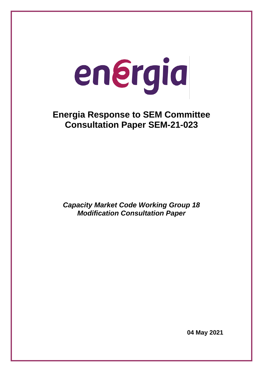# energia

# **Energia Response to SEM Committee Consultation Paper SEM-21-023**

*Capacity Market Code Working Group 18 Modification Consultation Paper*

**04 May 2021**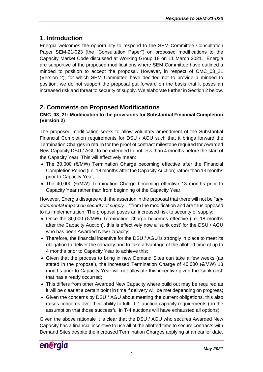## **1. Introduction**

Energia welcomes the opportunity to respond to the SEM Committee Consultation Paper SEM-21-023 (the "Consultation Paper") on proposed modifications to the Capacity Market Code discussed at Working Group 18 on 11 March 2021. Energia are supportive of the proposed modifications where SEM Committee have outlined a minded to position to accept the proposal. However, in respect of CMC\_03\_21 (Version 2), for which SEM Committee have decided not to provide a minded to position, we do not support the proposal put forward on the basis that it poses an increased risk and threat to security of supply. We elaborate further in Section 2 below.

### **2. Comments on Proposed Modifications**

### **CMC\_03\_21: Modification to the provisions for Substantial Financial Completion (Version 2)**

The proposed modification seeks to allow voluntary amendment of the Substantial Financial Completion requirements for DSU / AGU such that it brings forward the Termination Charges in return for the proof of contract milestone required for Awarded New Capacity DSU / AGU to be extended to not less than 4 months before the start of the Capacity Year. This will effectively mean:

- The 30,000 (€/MW) Termination Charge becoming effective after the Financial Completion Period (i.e. 18 months after the Capacity Auction) rather than 13 months prior to Capacity Year;
- The 40,000 (€/MW) Termination Charge becoming effective 13 months prior to Capacity Year rather than from beginning of the Capacity Year.

However, Energia disagree with the assertion in the proposal that there will not be *"any detrimental impact on security of supply…"* from the modification and are thus opposed to its implementation. The proposal poses an increased risk to security of supply:

- Once the 30,000 (€/MW) Termination Charge becomes effective (i.e. 18 months after the Capacity Auction), this is effectively now a 'sunk cost' for the DSU / AGU who has been Awarded New Capacity;
- Therefore, the financial incentive for the DSU / AGU is strongly in place to meet its obligation to deliver the capacity and to take advantage of the allotted time of up to 4 months prior to Capacity Year to achieve this;
- Given that the process to bring in new Demand Sites can take a few weeks (as stated in the proposal), the increased Termination Charge of 40,000 (€/MW) 13 months prior to Capacity Year will not alleviate this incentive given the 'sunk cost' that has already occurred;
- This differs from other Awarded New Capacity where build out may be required as it will be clear at a certain point in time if delivery will be met depending on progress;
- Given the concerns by DSU / AGU about meeting the current obligations, this also raises concerns over their ability to fulfil T-1 auction capacity requirements (on the assumption that those successful in T-4 auctions will have exhausted all options).

Given the above rationale it is clear that the DSU / AGU who secures Awarded New Capacity has a financial incentive to use all of the allotted time to secure contracts with Demand Sites despite the increased Termination Charges applying at an earlier date.